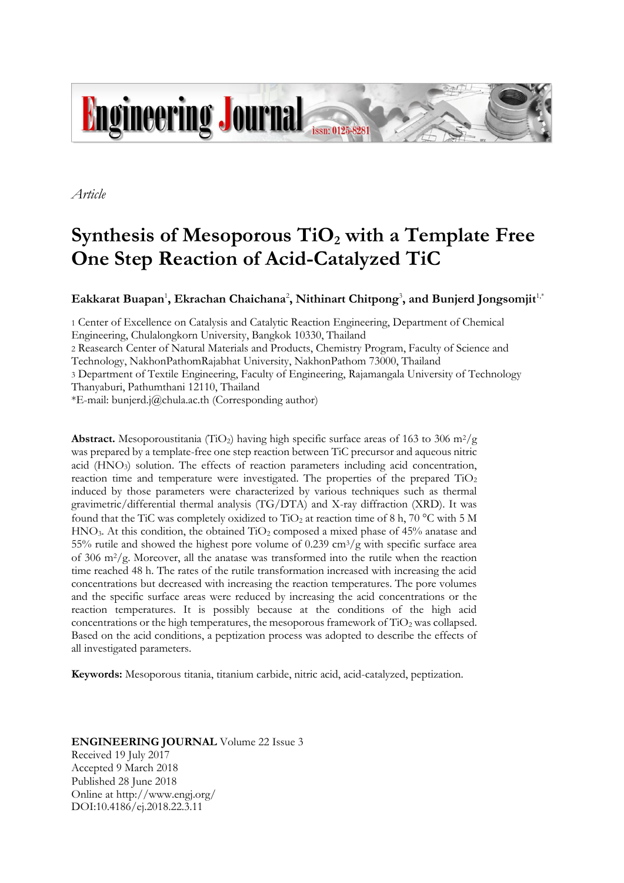

*Article*

# **Synthesis of Mesoporous TiO<sup>2</sup> with a Template Free One Step Reaction of Acid-Catalyzed TiC**

 $\mathbf{E}$ akkarat Buapan<sup>1</sup>, Ekrachan Chaichana<sup>2</sup>, Nithinart Chitpong<sup>3</sup>, and Bunjerd Jongsomjit<sup>1,†</sup>

1 Center of Excellence on Catalysis and Catalytic Reaction Engineering, Department of Chemical Engineering, Chulalongkorn University, Bangkok 10330, Thailand

2 Reasearch Center of Natural Materials and Products, Chemistry Program, Faculty of Science and

Technology, NakhonPathomRajabhat University, NakhonPathom 73000, Thailand

3 Department of Textile Engineering, Faculty of Engineering, Rajamangala University of Technology

Thanyaburi, Pathumthani 12110, Thailand

\*E-mail: bunjerd.j@chula.ac.th (Corresponding author)

**Abstract.** Mesoporoustitania (TiO<sub>2</sub>) having high specific surface areas of 163 to 306 m<sup>2</sup>/g was prepared by a template-free one step reaction between TiC precursor and aqueous nitric acid (HNO3) solution. The effects of reaction parameters including acid concentration, reaction time and temperature were investigated. The properties of the prepared  $TiO<sub>2</sub>$ induced by those parameters were characterized by various techniques such as thermal gravimetric/differential thermal analysis (TG/DTA) and X-ray diffraction (XRD). It was found that the TiC was completely oxidized to TiO<sub>2</sub> at reaction time of 8 h, 70 °C with 5 M  $HNO<sub>3</sub>$ . At this condition, the obtained  $TiO<sub>2</sub>$  composed a mixed phase of 45% anatase and 55% rutile and showed the highest pore volume of  $0.239 \text{ cm}^3/\text{g}$  with specific surface area of 306 m2/g. Moreover, all the anatase was transformed into the rutile when the reaction time reached 48 h. The rates of the rutile transformation increased with increasing the acid concentrations but decreased with increasing the reaction temperatures. The pore volumes and the specific surface areas were reduced by increasing the acid concentrations or the reaction temperatures. It is possibly because at the conditions of the high acid concentrations or the high temperatures, the mesoporous framework of  $TiO<sub>2</sub>$  was collapsed. Based on the acid conditions, a peptization process was adopted to describe the effects of all investigated parameters.

**Keywords:** Mesoporous titania, titanium carbide, nitric acid, acid-catalyzed, peptization.

# **ENGINEERING JOURNAL** Volume 22 Issue 3 Received 19 July 2017 Accepted 9 March 2018 Published 28 June 2018

Online at http://www.engj.org/ DOI:10.4186/ej.2018.22.3.11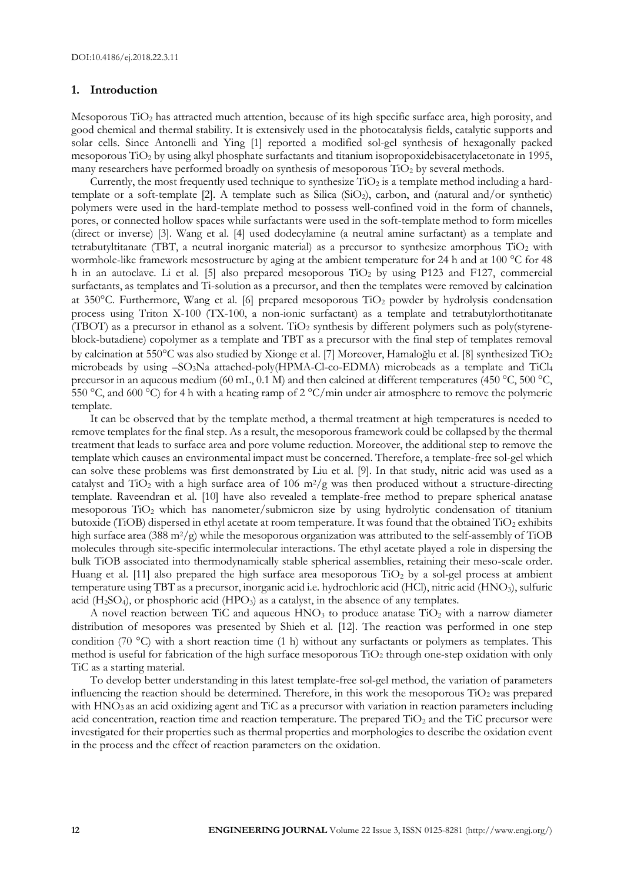## **1. Introduction**

Mesoporous TiO<sub>2</sub> has attracted much attention, because of its high specific surface area, high porosity, and good chemical and thermal stability. It is extensively used in the photocatalysis fields, catalytic supports and solar cells. Since Antonelli and Ying [1] reported a modified sol-gel synthesis of hexagonally packed mesoporous TiO<sup>2</sup> by using alkyl phosphate surfactants and titanium isopropoxidebisacetylacetonate in 1995, many researchers have performed broadly on synthesis of mesoporous  $TiO<sub>2</sub>$  by several methods.

Currently, the most frequently used technique to synthesize  $TiO<sub>2</sub>$  is a template method including a hardtemplate or a soft-template [2]. A template such as Silica (SiO<sub>2</sub>), carbon, and (natural and/or synthetic) polymers were used in the hard-template method to possess well-confined void in the form of channels, pores, or connected hollow spaces while surfactants were used in the soft-template method to form micelles (direct or inverse) [3]. Wang et al. [4] used dodecylamine (a neutral amine surfactant) as a template and tetrabutyltitanate (TBT, a neutral inorganic material) as a precursor to synthesize amorphous  $TiO<sub>2</sub>$  with wormhole-like framework mesostructure by aging at the ambient temperature for 24 h and at 100 °C for 48 h in an autoclave. Li et al. [5] also prepared mesoporous  $TiO<sub>2</sub>$  by using P123 and F127, commercial surfactants, as templates and Ti-solution as a precursor, and then the templates were removed by calcination at 350°C. Furthermore, Wang et al. [6] prepared mesoporous TiO<sub>2</sub> powder by hydrolysis condensation process using Triton X-100 (TX-100, a non-ionic surfactant) as a template and tetrabutylorthotitanate (TBOT) as a precursor in ethanol as a solvent. TiO<sub>2</sub> synthesis by different polymers such as poly(styreneblock-butadiene) copolymer as a template and TBT as a precursor with the final step of templates removal by calcination at 550°C was also studied by Xionge et al. [7] Moreover, Hamaloğlu et al. [8] synthesized TiO<sub>2</sub> microbeads by using –SO3Na attached-poly(HPMA-Cl-co-EDMA) microbeads as a template and TiCl<sup>4</sup> precursor in an aqueous medium (60 mL, 0.1 M) and then calcined at different temperatures (450 °C, 500 °C, 550 °C, and 600 °C) for 4 h with a heating ramp of 2 °C/min under air atmosphere to remove the polymeric template.

It can be observed that by the template method, a thermal treatment at high temperatures is needed to remove templates for the final step. As a result, the mesoporous framework could be collapsed by the thermal treatment that leads to surface area and pore volume reduction. Moreover, the additional step to remove the template which causes an environmental impact must be concerned. Therefore, a template-free sol-gel which can solve these problems was first demonstrated by Liu et al. [9]. In that study, nitric acid was used as a catalyst and  $TiO<sub>2</sub>$  with a high surface area of 106 m<sup>2</sup>/g was then produced without a structure-directing template. Raveendran et al. [10] have also revealed a template-free method to prepare spherical anatase mesoporous TiO<sub>2</sub> which has nanometer/submicron size by using hydrolytic condensation of titanium butoxide (TiOB) dispersed in ethyl acetate at room temperature. It was found that the obtained  $TiO<sub>2</sub>$  exhibits high surface area (388 m<sup>2</sup>/g) while the mesoporous organization was attributed to the self-assembly of TiOB molecules through site-specific intermolecular interactions. The ethyl acetate played a role in dispersing the bulk TiOB associated into thermodynamically stable spherical assemblies, retaining their meso-scale order. Huang et al. [11] also prepared the high surface area mesoporous  $TiO<sub>2</sub>$  by a sol-gel process at ambient temperature using TBT as a precursor, inorganic acid i.e. hydrochloric acid (HCl), nitric acid (HNO3), sulfuric acid  $(H_2SO_4)$ , or phosphoric acid  $(HPO_3)$  as a catalyst, in the absence of any templates.

A novel reaction between TiC and aqueous  $HNO<sub>3</sub>$  to produce anatase TiO<sub>2</sub> with a narrow diameter distribution of mesopores was presented by Shieh et al. [12]. The reaction was performed in one step condition (70 °C) with a short reaction time (1 h) without any surfactants or polymers as templates. This method is useful for fabrication of the high surface mesoporous  $TiO<sub>2</sub>$  through one-step oxidation with only TiC as a starting material.

To develop better understanding in this latest template-free sol-gel method, the variation of parameters influencing the reaction should be determined. Therefore, in this work the mesoporous  $TiO<sub>2</sub>$  was prepared with  $HNO<sub>3</sub>$  as an acid oxidizing agent and TiC as a precursor with variation in reaction parameters including acid concentration, reaction time and reaction temperature. The prepared TiO<sub>2</sub> and the TiC precursor were investigated for their properties such as thermal properties and morphologies to describe the oxidation event in the process and the effect of reaction parameters on the oxidation.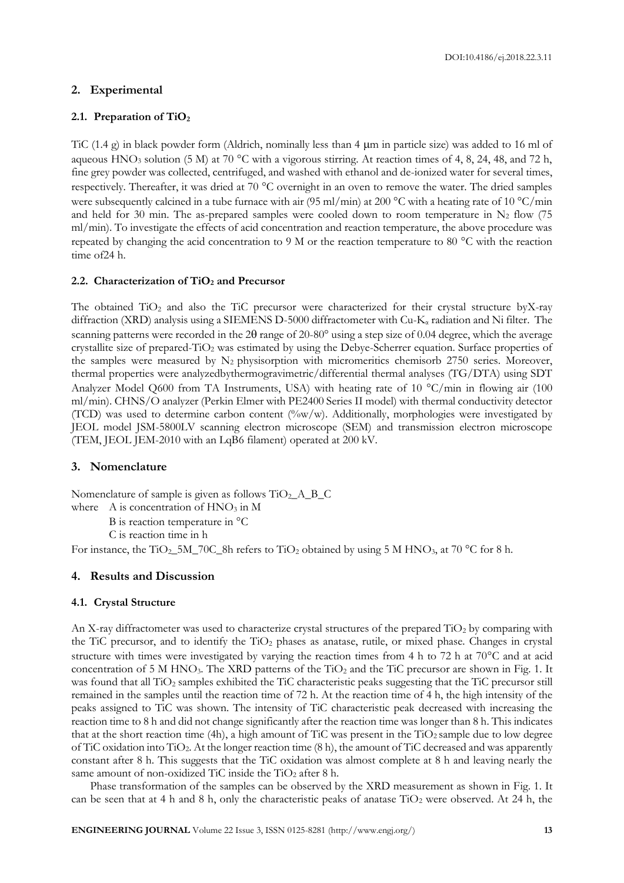# **2. Experimental**

## **2.1. Preparation of TiO<sup>2</sup>**

TiC (1.4 g) in black powder form (Aldrich, nominally less than 4  $\mu$ m in particle size) was added to 16 ml of aqueous HNO<sub>3</sub> solution (5 M) at 70 °C with a vigorous stirring. At reaction times of 4, 8, 24, 48, and 72 h, fine grey powder was collected, centrifuged, and washed with ethanol and de-ionized water for several times, respectively. Thereafter, it was dried at 70 °C overnight in an oven to remove the water. The dried samples were subsequently calcined in a tube furnace with air (95 ml/min) at 200 °C with a heating rate of 10 °C/min and held for 30 min. The as-prepared samples were cooled down to room temperature in  $N_2$  flow (75 ml/min). To investigate the effects of acid concentration and reaction temperature, the above procedure was repeated by changing the acid concentration to 9 M or the reaction temperature to 80 °C with the reaction time of24 h.

## **2.2. Characterization of TiO<sup>2</sup> and Precursor**

The obtained  $TiO<sub>2</sub>$  and also the TiC precursor were characterized for their crystal structure byX-ray diffraction (XRD) analysis using a SIEMENS D-5000 diffractometer with Cu-K<sub>a</sub> radiation and Ni filter. The scanning patterns were recorded in the  $2\theta$  range of  $20{\text -}80^{\circ}$  using a step size of 0.04 degree, which the average crystallite size of prepared-TiO<sup>2</sup> was estimated by using the Debye-Scherrer equation. Surface properties of the samples were measured by N<sub>2</sub> physisorption with micromeritics chemisorb 2750 series. Moreover, thermal properties were analyzedbythermogravimetric/differential thermal analyses (TG/DTA) using SDT Analyzer Model Q600 from TA Instruments, USA) with heating rate of 10  $^{\circ}$ C/min in flowing air (100 ml/min). CHNS/O analyzer (Perkin Elmer with PE2400 Series II model) with thermal conductivity detector (TCD) was used to determine carbon content  $(\sqrt[6]{w}/w)$ . Additionally, morphologies were investigated by JEOL model JSM-5800LV scanning electron microscope (SEM) and transmission electron microscope (TEM, JEOL JEM-2010 with an LqB6 filament) operated at 200 kV.

# **3. Nomenclature**

Nomenclature of sample is given as follows  $TiO<sub>2</sub> A_B_C$ where  $A$  is concentration of  $HNO<sub>3</sub>$  in M

B is reaction temperature in  $^{\circ}$ C

C is reaction time in h

For instance, the TiO<sub>2</sub>\_5M\_70C\_8h refers to TiO<sub>2</sub> obtained by using 5 M HNO<sub>3</sub>, at 70 °C for 8 h.

## **4. Results and Discussion**

#### **4.1. Crystal Structure**

An X-ray diffractometer was used to characterize crystal structures of the prepared  $TiO<sub>2</sub>$  by comparing with the TiC precursor, and to identify the TiO<sub>2</sub> phases as anatase, rutile, or mixed phase. Changes in crystal structure with times were investigated by varying the reaction times from 4 h to 72 h at 70 $^{\circ}$ C and at acid concentration of 5 M HNO<sub>3</sub>. The XRD patterns of the  $TiO<sub>2</sub>$  and the TiC precursor are shown in Fig. 1. It was found that all TiO<sub>2</sub> samples exhibited the TiC characteristic peaks suggesting that the TiC precursor still remained in the samples until the reaction time of 72 h. At the reaction time of 4 h, the high intensity of the peaks assigned to TiC was shown. The intensity of TiC characteristic peak decreased with increasing the reaction time to 8 h and did not change significantly after the reaction time was longer than 8 h. This indicates that at the short reaction time (4h), a high amount of TiC was present in the  $TiO<sub>2</sub>$  sample due to low degree of TiC oxidation into TiO2. At the longer reaction time (8 h), the amount of TiC decreased and was apparently constant after 8 h. This suggests that the TiC oxidation was almost complete at 8 h and leaving nearly the same amount of non-oxidized TiC inside the TiO<sub>2</sub> after 8 h.

Phase transformation of the samples can be observed by the XRD measurement as shown in Fig. 1. It can be seen that at 4 h and 8 h, only the characteristic peaks of anatase  $TiO<sub>2</sub>$  were observed. At 24 h, the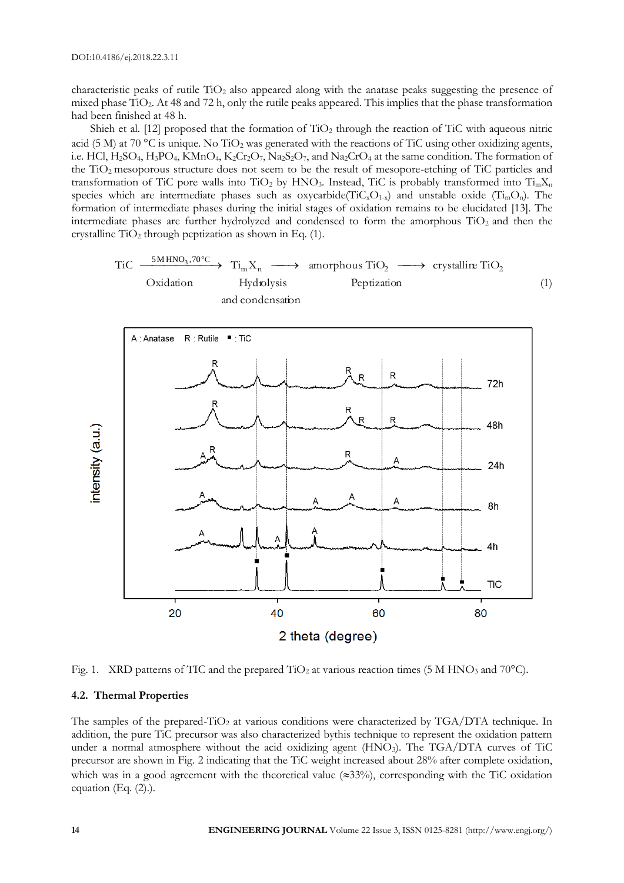characteristic peaks of rutile TiO<sup>2</sup> also appeared along with the anatase peaks suggesting the presence of mixed phase TiO2. At 48 and 72 h, only the rutile peaks appeared. This implies that the phase transformation had been finished at 48 h.

Shieh et al. [12] proposed that the formation of  $TiO<sub>2</sub>$  through the reaction of TiC with aqueous nitric acid (5 M) at 70 °C is unique. No TiO<sub>2</sub> was generated with the reactions of TiC using other oxidizing agents, i.e. HCl,  $H_2SO_4$ ,  $H_3PO_4$ ,  $KMnO_4$ ,  $K_2Cr_2O_7$ ,  $Na_2S_2O_7$ , and  $Na_2CrO_4$  at the same condition. The formation of the TiO2 mesoporous structure does not seem to be the result of mesopore-etching of TiC particles and transformation of TiC pore walls into TiO<sub>2</sub> by HNO<sub>3</sub>. Instead, TiC is probably transformed into  $Ti_mX_n$ species which are intermediate phases such as oxycarbide( $\text{Ti}C_{\text{x}}O_{1-x}$ ) and unstable oxide ( $\text{Ti}_{\text{m}}O_{\text{n}}$ ). The formation of intermediate phases during the initial stages of oxidation remains to be elucidated [13]. The intermediate phases are further hydrolyzed and condensed to form the amorphous  $TiO<sub>2</sub>$  and then the crystalline  $TiO<sub>2</sub>$  through peptization as shown in Eq. (1).





Fig. 1. XRD patterns of TIC and the prepared TiO<sub>2</sub> at various reaction times (5 M HNO<sub>3</sub> and 70°C).

# **4.2. Thermal Properties**

The samples of the prepared-TiO<sub>2</sub> at various conditions were characterized by TGA/DTA technique. In addition, the pure TiC precursor was also characterized bythis technique to represent the oxidation pattern under a normal atmosphere without the acid oxidizing agent  $(HNO<sub>3</sub>)$ . The TGA/DTA curves of TiC precursor are shown in Fig. 2 indicating that the TiC weight increased about 28% after complete oxidation, which was in a good agreement with the theoretical value  $(\approx 33\%)$ , corresponding with the TiC oxidation equation (Eq. (2).).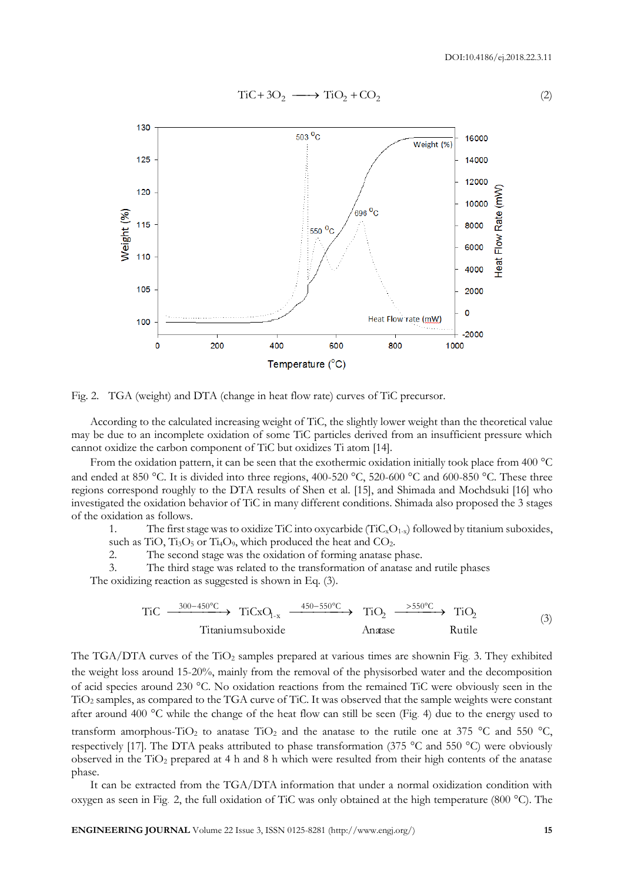

Fig. 2. TGA (weight) and DTA (change in heat flow rate) curves of TiC precursor.

According to the calculated increasing weight of TiC, the slightly lower weight than the theoretical value may be due to an incomplete oxidation of some TiC particles derived from an insufficient pressure which cannot oxidize the carbon component of TiC but oxidizes Ti atom [14].

From the oxidation pattern, it can be seen that the exothermic oxidation initially took place from 400  $^{\circ}$ C and ended at 850 °C. It is divided into three regions, 400-520 °C, 520-600 °C and 600-850 °C. These three regions correspond roughly to the DTA results of Shen et al. [15], and Shimada and Mochdsuki [16] who investigated the oxidation behavior of TiC in many different conditions. Shimada also proposed the 3 stages of the oxidation as follows.

1. The first stage was to oxidize TiC into oxycarbide  $(T_iC_xO_{1-x})$  followed by titanium suboxides, such as TiO,  $Ti<sub>3</sub>O<sub>5</sub>$  or T<sub>14</sub>O<sub>9</sub>, which produced the heat and CO<sub>2</sub>.

2. The second stage was the oxidation of forming anatase phase.

3. The third stage was related to the transformation of anatase and rutile phases The oxidizing reaction as suggested is shown in Eq. (3).

$$
\text{TiC} \xrightarrow{\phantom{0}300-450^{\circ}\text{C}} \text{TiCxO}_{1-x} \xrightarrow{\phantom{0}450-550^{\circ}\text{C}} \text{TiO}_{2} \xrightarrow{\phantom{0}550^{\circ}\text{C}} \text{TiO}_{2}
$$
\n
$$
\text{Trianimsuboxide} \qquad \text{Anatase} \qquad \text{Rule}
$$
\n
$$
(3)
$$

The TGA/DTA curves of the TiO<sub>2</sub> samples prepared at various times are shownin Fig. 3. They exhibited the weight loss around 15-20%, mainly from the removal of the physisorbed water and the decomposition of acid species around 230 °C. No oxidation reactions from the remained TiC were obviously seen in the TiO<sup>2</sup> samples, as compared to the TGA curve of TiC. It was observed that the sample weights were constant after around 400  $^{\circ}$ C while the change of the heat flow can still be seen (Fig. 4) due to the energy used to transform amorphous-TiO<sub>2</sub> to anatase TiO<sub>2</sub> and the anatase to the rutile one at 375 °C and 550 °C, respectively [17]. The DTA peaks attributed to phase transformation (375  $\degree$ C and 550  $\degree$ C) were obviously observed in the  $TiO<sub>2</sub>$  prepared at 4 h and 8 h which were resulted from their high contents of the anatase phase.

It can be extracted from the TGA/DTA information that under a normal oxidization condition with oxygen as seen in Fig. 2, the full oxidation of TiC was only obtained at the high temperature (800 C). The

(2)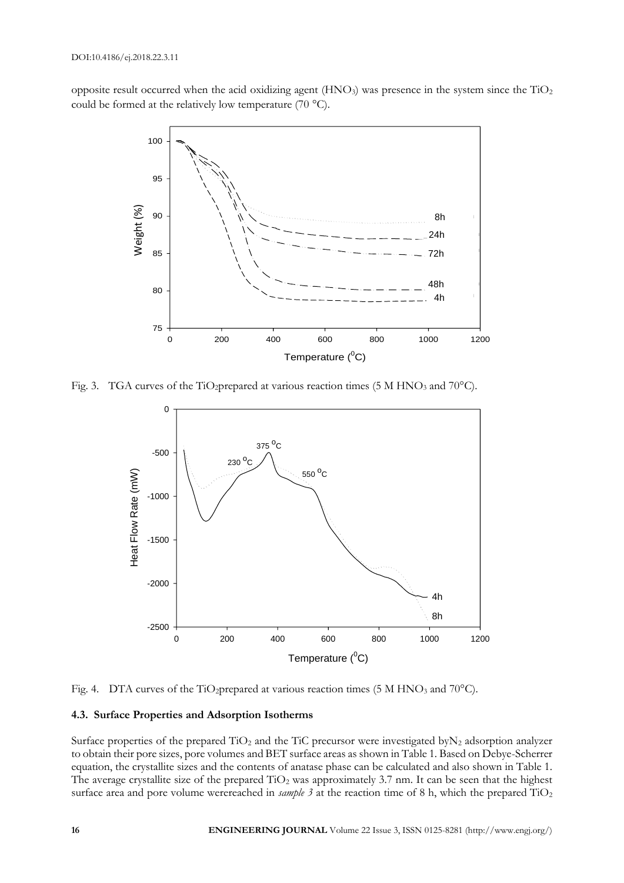opposite result occurred when the acid oxidizing agent  $(HNO<sub>3</sub>)$  was presence in the system since the  $TiO<sub>2</sub>$ could be formed at the relatively low temperature  $(70 °C)$ .



Fig. 3. TGA curves of the TiO<sub>2</sub>prepared at various reaction times (5 M HNO<sub>3</sub> and 70<sup>o</sup>C).



Fig. 4. DTA curves of the TiO<sub>2</sub>prepared at various reaction times (5 M HNO<sub>3</sub> and 70°C).

## **4.3. Surface Properties and Adsorption Isotherms**

Surface properties of the prepared  $TiO<sub>2</sub>$  and the TiC precursor were investigated by  $N<sub>2</sub>$  adsorption analyzer to obtain their pore sizes, pore volumes and BET surface areas as shown in Table 1. Based on Debye-Scherrer equation, the crystallite sizes and the contents of anatase phase can be calculated and also shown in Table 1. The average crystallite size of the prepared  $TiO<sub>2</sub>$  was approximately 3.7 nm. It can be seen that the highest surface area and pore volume werereached in *sample 3* at the reaction time of 8 h, which the prepared TiO<sub>2</sub>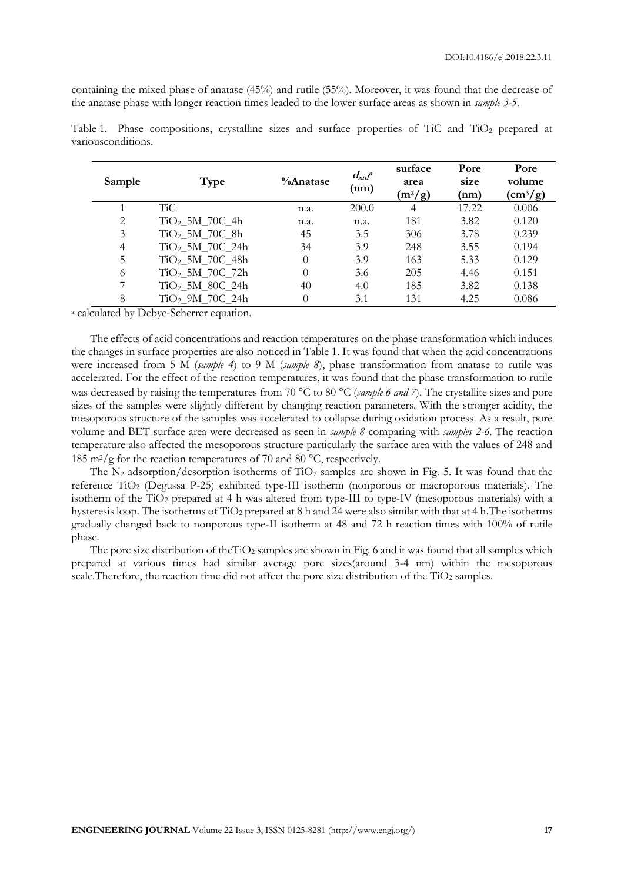containing the mixed phase of anatase (45%) and rutile (55%). Moreover, it was found that the decrease of the anatase phase with longer reaction times leaded to the lower surface areas as shown in *sample 3-5*.

| Sample         | Type                        | $\%$ Anatase | $d_{\mathrm{xd}}$ <sup>a</sup><br>(nm) | surface<br>area<br>$(m^2/g)$ | Pore<br>size<br>(nm) | Pore<br>volume<br>$\rm (cm^3/g)$ |
|----------------|-----------------------------|--------------|----------------------------------------|------------------------------|----------------------|----------------------------------|
|                | <b>TiC</b>                  | n.a.         | 200.0                                  | $\overline{4}$               | 17.22                | 0.006                            |
| $\overline{2}$ | $TiO2$ 5M_70C_4h            | n.a.         | n.a.                                   | 181                          | 3.82                 | 0.120                            |
| 3              | $TiO2$ 5M 70C 8h            | 45           | 3.5                                    | 306                          | 3.78                 | 0.239                            |
| $\overline{4}$ | $TiO2$ _5M_70C_24h          | 34           | 3.9                                    | 248                          | 3.55                 | 0.194                            |
| 5              | $TiO2$ 5M 70C 48h           | $\theta$     | 3.9                                    | 163                          | 5.33                 | 0.129                            |
| 6              | $TiO2$ _5M_70C_72h          | $\Omega$     | 3.6                                    | 205                          | 4.46                 | 0.151                            |
| 7              | $TiO2$ 5M_80C_24h           | 40           | 4.0                                    | 185                          | 3.82                 | 0.138                            |
| 8              | TiO <sub>2</sub> 9M 70C 24h | $\theta$     | 3.1                                    | 131                          | 4.25                 | 0.086                            |

Table 1. Phase compositions, crystalline sizes and surface properties of TiC and TiO<sub>2</sub> prepared at variousconditions.

<sup>a</sup> calculated by Debye-Scherrer equation.

The effects of acid concentrations and reaction temperatures on the phase transformation which induces the changes in surface properties are also noticed in Table 1. It was found that when the acid concentrations were increased from 5 M (*sample 4*) to 9 M (*sample 8*), phase transformation from anatase to rutile was accelerated. For the effect of the reaction temperatures, it was found that the phase transformation to rutile was decreased by raising the temperatures from 70 °C to 80 °C (*sample 6 and 7*). The crystallite sizes and pore sizes of the samples were slightly different by changing reaction parameters. With the stronger acidity, the mesoporous structure of the samples was accelerated to collapse during oxidation process. As a result, pore volume and BET surface area were decreased as seen in *sample 8* comparing with *samples 2-6*. The reaction temperature also affected the mesoporous structure particularly the surface area with the values of 248 and 185 m<sup>2</sup>/g for the reaction temperatures of 70 and 80  $^{\circ}$ C, respectively.

The  $N_2$  adsorption/desorption isotherms of TiO<sub>2</sub> samples are shown in Fig. 5. It was found that the reference TiO<sup>2</sup> (Degussa P-25) exhibited type-III isotherm (nonporous or macroporous materials). The isotherm of the TiO<sub>2</sub> prepared at 4 h was altered from type-III to type-IV (mesoporous materials) with a hysteresis loop. The isotherms of TiO<sup>2</sup> prepared at 8 h and 24 were also similar with that at 4 h.The isotherms gradually changed back to nonporous type-II isotherm at 48 and 72 h reaction times with 100% of rutile phase.

The pore size distribution of theTiO<sub>2</sub> samples are shown in Fig. 6 and it was found that all samples which prepared at various times had similar average pore sizes(around 3-4 nm) within the mesoporous scale. Therefore, the reaction time did not affect the pore size distribution of the TiO<sub>2</sub> samples.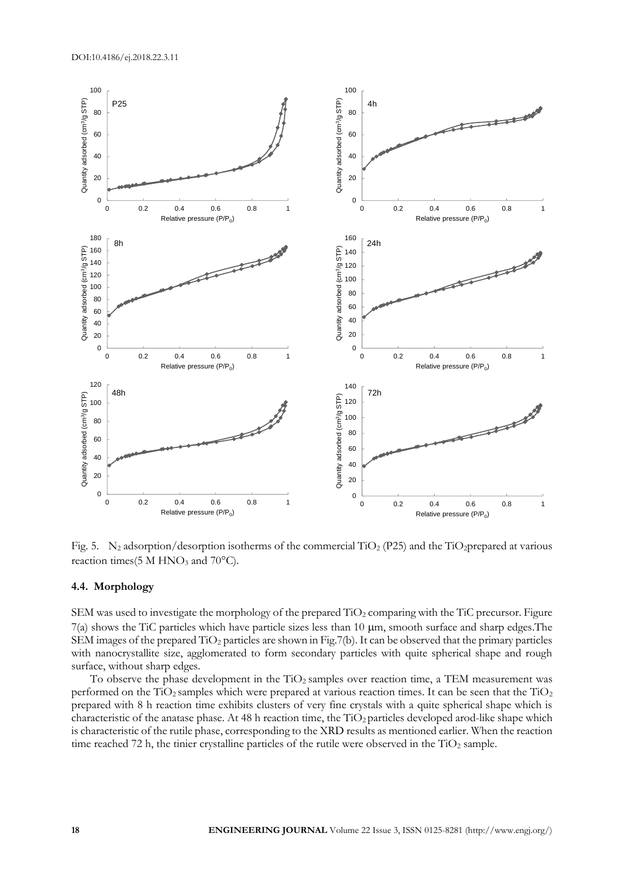

Fig. 5. N<sub>2</sub> adsorption/desorption isotherms of the commercial TiO<sub>2</sub> (P25) and the TiO<sub>2</sub>prepared at various reaction times(5 M HNO<sub>3</sub> and  $70^{\circ}$ C).

## **4.4. Morphology**

SEM was used to investigate the morphology of the prepared TiO<sub>2</sub> comparing with the TiC precursor. Figure  $7(a)$  shows the TiC particles which have particle sizes less than 10  $\mu$ m, smooth surface and sharp edges. The SEM images of the prepared  $TiO<sub>2</sub>$  particles are shown in Fig.7(b). It can be observed that the primary particles with nanocrystallite size, agglomerated to form secondary particles with quite spherical shape and rough surface, without sharp edges.

To observe the phase development in the  $TiO<sub>2</sub>$  samples over reaction time, a TEM measurement was performed on the  $TiO<sub>2</sub>$  samples which were prepared at various reaction times. It can be seen that the  $TiO<sub>2</sub>$ prepared with 8 h reaction time exhibits clusters of very fine crystals with a quite spherical shape which is characteristic of the anatase phase. At 48 h reaction time, the  $TiO<sub>2</sub>$  particles developed arod-like shape which is characteristic of the rutile phase, corresponding to the XRD results as mentioned earlier. When the reaction time reached 72 h, the tinier crystalline particles of the rutile were observed in the  $TiO<sub>2</sub>$  sample.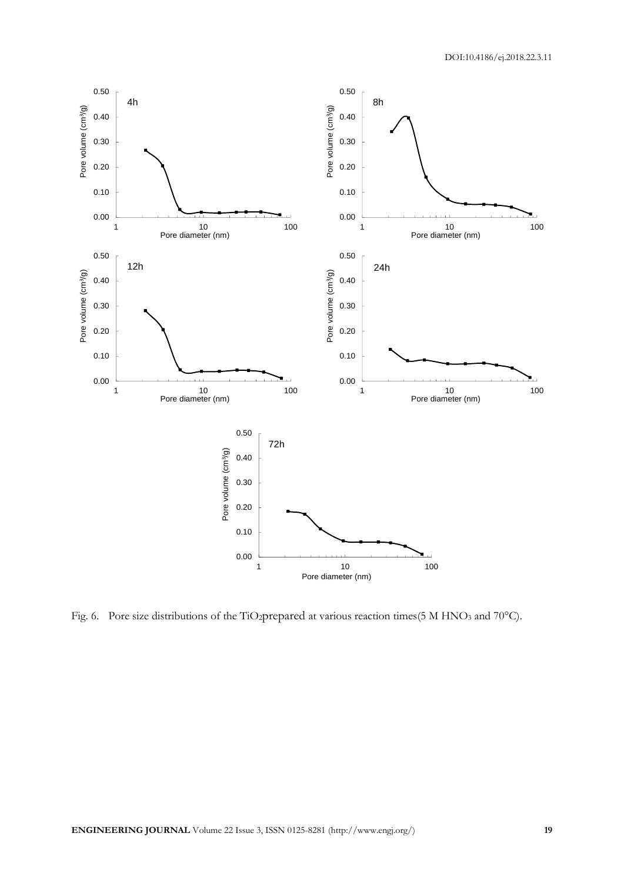

Fig. 6. Pore size distributions of the TiO<sub>2</sub>prepared at various reaction times(5 M HNO<sub>3</sub> and 70°C).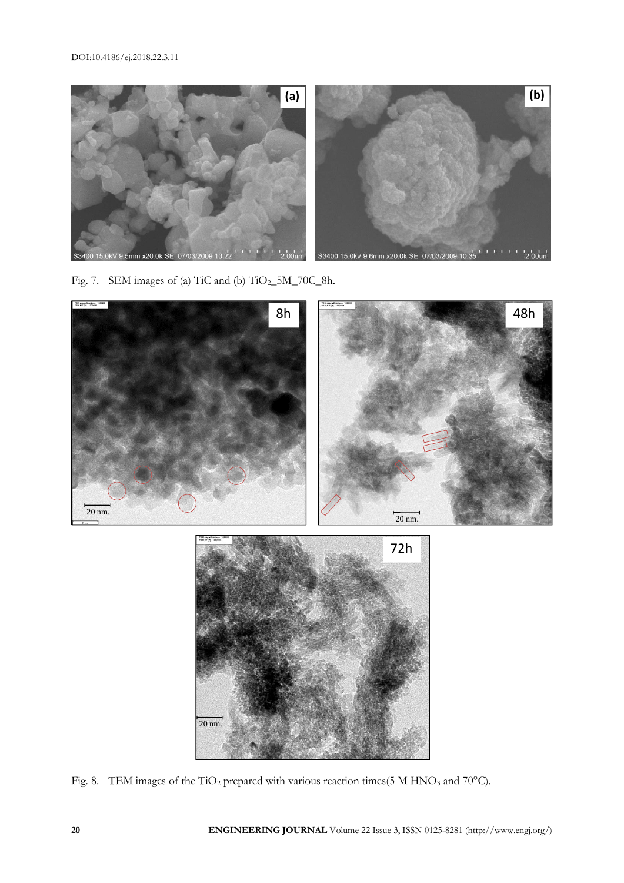

Fig. 7. SEM images of (a) TiC and (b) TiO<sub>2\_</sub>5M\_70C\_8h.



Fig. 8. TEM images of the TiO<sub>2</sub> prepared with various reaction times(5 M HNO<sub>3</sub> and 70°C).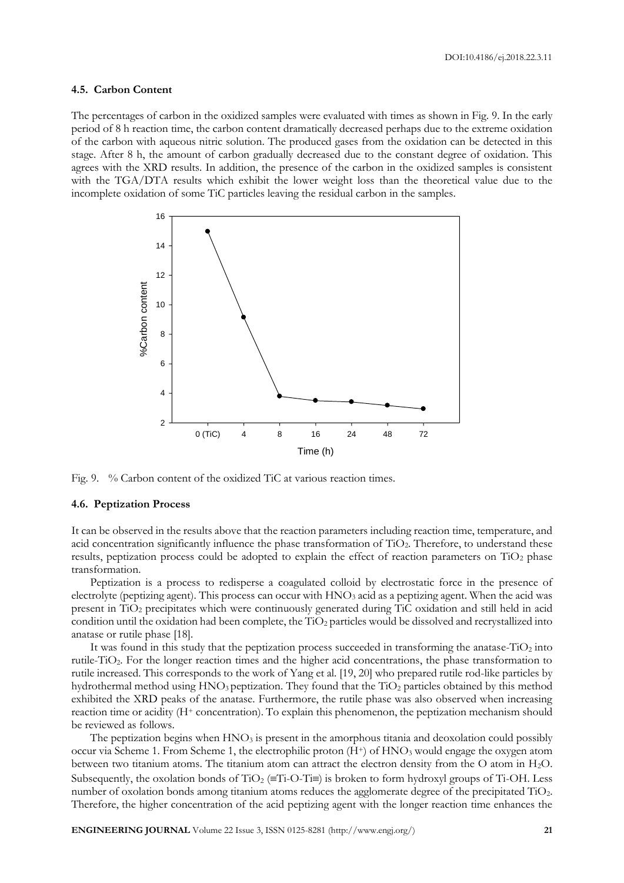## **4.5. Carbon Content**

The percentages of carbon in the oxidized samples were evaluated with times as shown in Fig. 9. In the early period of 8 h reaction time, the carbon content dramatically decreased perhaps due to the extreme oxidation of the carbon with aqueous nitric solution. The produced gases from the oxidation can be detected in this stage. After 8 h, the amount of carbon gradually decreased due to the constant degree of oxidation. This agrees with the XRD results. In addition, the presence of the carbon in the oxidized samples is consistent with the TGA/DTA results which exhibit the lower weight loss than the theoretical value due to the incomplete oxidation of some TiC particles leaving the residual carbon in the samples.



Fig. 9. % Carbon content of the oxidized TiC at various reaction times.

#### **4.6. Peptization Process**

It can be observed in the results above that the reaction parameters including reaction time, temperature, and acid concentration significantly influence the phase transformation of TiO<sub>2</sub>. Therefore, to understand these results, peptization process could be adopted to explain the effect of reaction parameters on TiO<sub>2</sub> phase transformation.

Peptization is a process to redisperse a coagulated colloid by electrostatic force in the presence of electrolyte (peptizing agent). This process can occur with  $HNO<sub>3</sub>$  acid as a peptizing agent. When the acid was present in TiO<sup>2</sup> precipitates which were continuously generated during TiC oxidation and still held in acid condition until the oxidation had been complete, the TiO<sub>2</sub> particles would be dissolved and recrystallized into anatase or rutile phase [18].

It was found in this study that the peptization process succeeded in transforming the anatase-TiO<sub>2</sub> into rutile-TiO2. For the longer reaction times and the higher acid concentrations, the phase transformation to rutile increased. This corresponds to the work of Yang et al. [19, 20] who prepared rutile rod-like particles by hydrothermal method using HNO<sub>3</sub> peptization. They found that the TiO<sub>2</sub> particles obtained by this method exhibited the XRD peaks of the anatase. Furthermore, the rutile phase was also observed when increasing reaction time or acidity (H<sup>+</sup> concentration). To explain this phenomenon, the peptization mechanism should be reviewed as follows.

The peptization begins when  $HNO<sub>3</sub>$  is present in the amorphous titania and deoxolation could possibly occur via Scheme 1. From Scheme 1, the electrophilic proton (H<sup>+</sup>) of HNO<sub>3</sub> would engage the oxygen atom between two titanium atoms. The titanium atom can attract the electron density from the O atom in  $H_2O$ . Subsequently, the oxolation bonds of TiO<sub>2</sub> ( $\equiv$ Ti-O-Ti $\equiv$ ) is broken to form hydroxyl groups of Ti-OH. Less number of oxolation bonds among titanium atoms reduces the agglomerate degree of the precipitated TiO2. Therefore, the higher concentration of the acid peptizing agent with the longer reaction time enhances the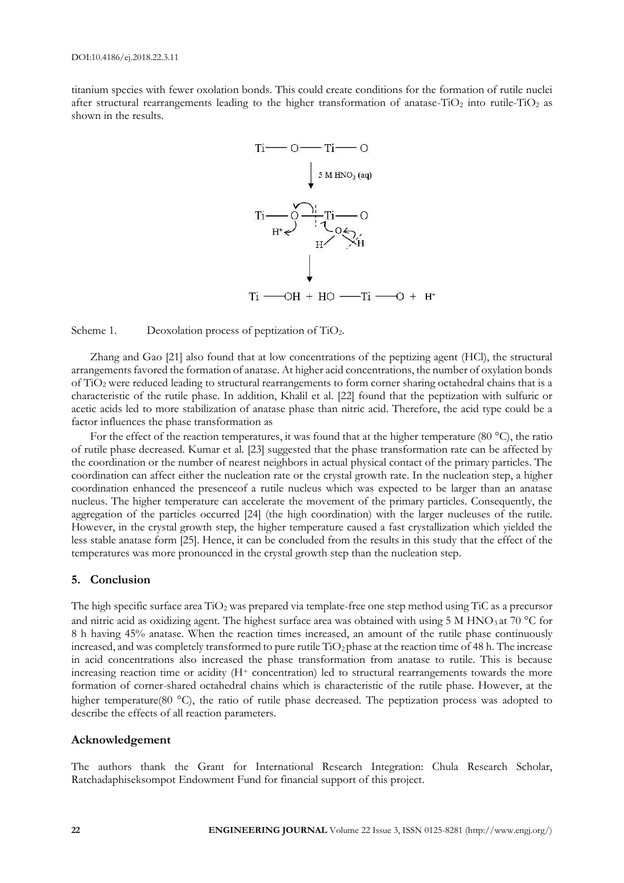titanium species with fewer oxolation bonds. This could create conditions for the formation of rutile nuclei after structural rearrangements leading to the higher transformation of anatase-TiO<sub>2</sub> into rutile-TiO<sub>2</sub> as shown in the results.



Scheme 1. Deoxolation process of peptization of  $TiO<sub>2</sub>$ .

Zhang and Gao [21] also found that at low concentrations of the peptizing agent (HCl), the structural arrangements favored the formation of anatase. At higher acid concentrations, the number of oxylation bonds of TiO<sup>2</sup> were reduced leading to structural rearrangements to form corner sharing octahedral chains that is a characteristic of the rutile phase. In addition, Khalil et al. [22] found that the peptization with sulfuric or acetic acids led to more stabilization of anatase phase than nitric acid. Therefore, the acid type could be a factor influences the phase transformation as

For the effect of the reaction temperatures, it was found that at the higher temperature (80  $^{\circ}$ C), the ratio of rutile phase decreased. Kumar et al. [23] suggested that the phase transformation rate can be affected by the coordination or the number of nearest neighbors in actual physical contact of the primary particles. The coordination can affect either the nucleation rate or the crystal growth rate. In the nucleation step, a higher coordination enhanced the presenceof a rutile nucleus which was expected to be larger than an anatase nucleus. The higher temperature can accelerate the movement of the primary particles. Consequently, the aggregation of the particles occurred [24] (the high coordination) with the larger nucleuses of the rutile. However, in the crystal growth step, the higher temperature caused a fast crystallization which yielded the less stable anatase form [25]. Hence, it can be concluded from the results in this study that the effect of the temperatures was more pronounced in the crystal growth step than the nucleation step.

## **5. Conclusion**

The high specific surface area  $TiO<sub>2</sub>$  was prepared via template-free one step method using TiC as a precursor and nitric acid as oxidizing agent. The highest surface area was obtained with using 5 M HNO<sub>3</sub> at 70 °C for 8 h having 45% anatase. When the reaction times increased, an amount of the rutile phase continuously increased, and was completely transformed to pure rutile TiO<sub>2</sub> phase at the reaction time of 48 h. The increase in acid concentrations also increased the phase transformation from anatase to rutile. This is because increasing reaction time or acidity (H<sup>+</sup> concentration) led to structural rearrangements towards the more formation of corner-shared octahedral chains which is characteristic of the rutile phase. However, at the higher temperature(80 °C), the ratio of rutile phase decreased. The peptization process was adopted to describe the effects of all reaction parameters.

# **Acknowledgement**

The authors thank the Grant for International Research Integration: Chula Research Scholar, Ratchadaphiseksompot Endowment Fund for financial support of this project.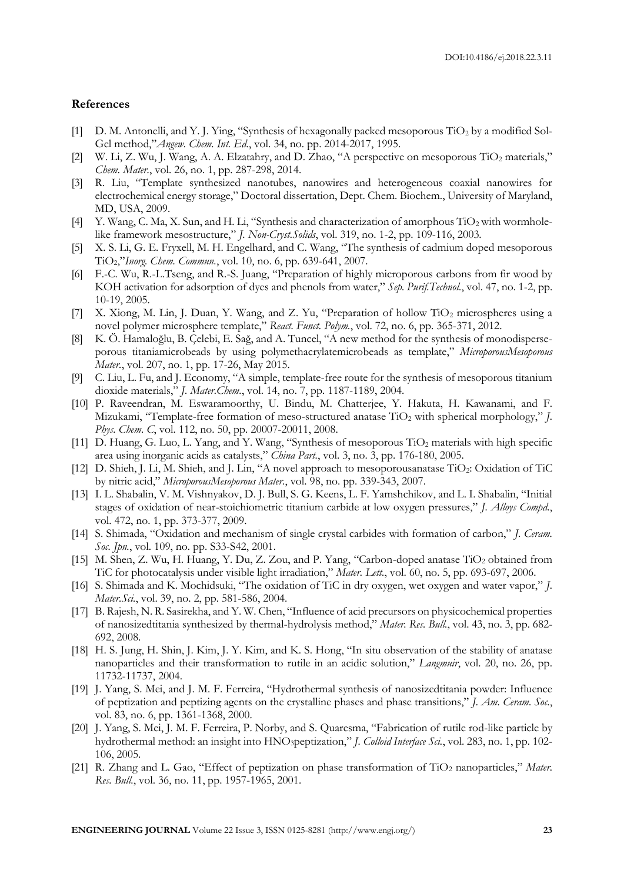## **References**

- [1] D. M. Antonelli, and Y. J. Ying, "Synthesis of hexagonally packed mesoporous TiO<sub>2</sub> by a modified Sol-Gel method,"*Angew. Chem. Int. Ed.*, vol. 34, no. pp. 2014-2017, 1995.
- [2] W. Li, Z. Wu, J. Wang, A. A. Elzatahry, and D. Zhao, "A perspective on mesoporous TiO<sub>2</sub> materials," *Chem. Mater.*, vol. 26, no. 1, pp. 287-298, 2014.
- [3] R. Liu, "Template synthesized nanotubes, nanowires and heterogeneous coaxial nanowires for electrochemical energy storage," Doctoral dissertation, Dept. Chem. Biochem., University of Maryland, MD, USA, 2009.
- [4] Y. Wang, C. Ma, X. Sun, and H. Li, "Synthesis and characterization of amorphous TiO<sub>2</sub> with wormholelike framework mesostructure," *J. Non-Cryst.Solids*, vol. 319, no. 1-2, pp. 109-116, 2003.
- [5] X. S. Li, G. E. Fryxell, M. H. Engelhard, and C. Wang, "The synthesis of cadmium doped mesoporous TiO2,"*Inorg. Chem. Commun.*, vol. 10, no. 6, pp. 639-641, 2007.
- [6] F.-C. Wu, R.-L.Tseng, and R.-S. Juang, "Preparation of highly microporous carbons from fir wood by KOH activation for adsorption of dyes and phenols from water," *Sep. Purif.Technol.*, vol. 47, no. 1-2, pp. 10-19, 2005.
- [7] X. Xiong, M. Lin, J. Duan, Y. Wang, and Z. Yu, "Preparation of hollow TiO<sub>2</sub> microspheres using a novel polymer microsphere template," *React. Funct. Polym.*, vol. 72, no. 6, pp. 365-371, 2012.
- [8] K. Ö. Hamaloğlu, B. Çelebi, E. Sağ, and A. Tuncel, "A new method for the synthesis of monodisperseporous titaniamicrobeads by using polymethacrylatemicrobeads as template," *MicroporousMesoporous Mater.*, vol. 207, no. 1, pp. 17-26, May 2015.
- [9] C. Liu, L. Fu, and J. Economy, "A simple, template-free route for the synthesis of mesoporous titanium dioxide materials," *J. Mater.Chem.*, vol. 14, no. 7, pp. 1187-1189, 2004.
- [10] P. Raveendran, M. Eswaramoorthy, U. Bindu, M. Chatterjee, Y. Hakuta, H. Kawanami, and F. Mizukami, "Template-free formation of meso-structured anatase TiO<sup>2</sup> with spherical morphology," *J. Phys. Chem. C*, vol. 112, no. 50, pp. 20007-20011, 2008.
- [11] D. Huang, G. Luo, L. Yang, and Y. Wang, "Synthesis of mesoporous TiO<sub>2</sub> materials with high specific area using inorganic acids as catalysts," *China Part.*, vol. 3, no. 3, pp. 176-180, 2005.
- [12] D. Shieh, J. Li, M. Shieh, and J. Lin, "A novel approach to mesoporousanatase TiO2: Oxidation of TiC by nitric acid," *MicroporousMesoporous Mater.*, vol. 98, no. pp. 339-343, 2007.
- [13] I. L. Shabalin, V. M. Vishnyakov, D. J. Bull, S. G. Keens, L. F. Yamshchikov, and L. I. Shabalin, "Initial stages of oxidation of near-stoichiometric titanium carbide at low oxygen pressures," *J. Alloys Compd.*, vol. 472, no. 1, pp. 373-377, 2009.
- [14] S. Shimada, "Oxidation and mechanism of single crystal carbides with formation of carbon," *J. Ceram. Soc. Jpn.*, vol. 109, no. pp. S33-S42, 2001.
- [15] M. Shen, Z. Wu, H. Huang, Y. Du, Z. Zou, and P. Yang, "Carbon-doped anatase TiO2 obtained from TiC for photocatalysis under visible light irradiation," *Mater. Lett.*, vol. 60, no. 5, pp. 693-697, 2006.
- [16] S. Shimada and K. Mochidsuki, "The oxidation of TiC in dry oxygen, wet oxygen and water vapor," *J. Mater.Sci.*, vol. 39, no. 2, pp. 581-586, 2004.
- [17] B. Rajesh, N. R. Sasirekha, and Y. W. Chen, "Influence of acid precursors on physicochemical properties of nanosizedtitania synthesized by thermal-hydrolysis method," *Mater. Res. Bull.*, vol. 43, no. 3, pp. 682- 692, 2008.
- [18] H. S. Jung, H. Shin, J. Kim, J. Y. Kim, and K. S. Hong, "In situ observation of the stability of anatase nanoparticles and their transformation to rutile in an acidic solution," *Langmuir*, vol. 20, no. 26, pp. 11732-11737, 2004.
- [19] J. Yang, S. Mei, and J. M. F. Ferreira, "Hydrothermal synthesis of nanosizedtitania powder: Influence of peptization and peptizing agents on the crystalline phases and phase transitions," *J. Am. Ceram. Soc.*, vol. 83, no. 6, pp. 1361-1368, 2000.
- [20] J. Yang, S. Mei, J. M. F. Ferreira, P. Norby, and S. Quaresma, "Fabrication of rutile rod-like particle by hydrothermal method: an insight into HNO3peptization," *J. Colloid Interface Sci.*, vol. 283, no. 1, pp. 102- 106, 2005.
- [21] R. Zhang and L. Gao, "Effect of peptization on phase transformation of TiO<sup>2</sup> nanoparticles," *Mater. Res. Bull.*, vol. 36, no. 11, pp. 1957-1965, 2001.